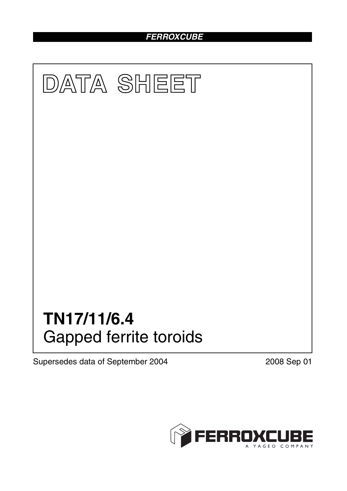# *FERROXCUBE*



Supersedes data of September 2004 2008 Sep 01

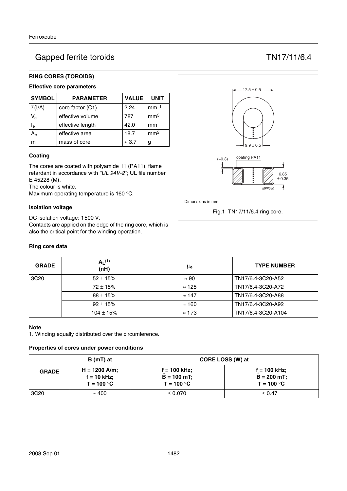# Gapped ferrite toroids TN17/11/6.4

## **RING CORES (TOROIDS)**

## **Effective core parameters**

| <b>SYMBOL</b>           | <b>PARAMETER</b> | <b>VALUE</b>  | <b>UNIT</b>     |
|-------------------------|------------------|---------------|-----------------|
| $\Sigma(I/A)$           | core factor (C1) | 2.24          | $mm-1$          |
| $V_{\rm e}$             | effective volume | 787           | mm <sup>3</sup> |
| $\mathsf{I}_\mathsf{e}$ | effective length | 42.0          | mm              |
|                         | effective area   | 18.7          | mm <sup>2</sup> |
| m                       | mass of core     | $\approx$ 3.7 | g               |

#### **Coating**

The cores are coated with polyamide 11 (PA11), flame retardant in accordance with *"UL 94V-2"*; UL file number E 45228 (M).

The colour is white.

Maximum operating temperature is 160 °C.

#### **Isolation voltage**

DC isolation voltage: 1500 V. Contacts are applied on the edge of the ring core, which is also the critical point for the winding operation.

#### **Ring core data**



| <b>GRADE</b>     | $A_L^{(1)}$<br>(nH) | μ <sub>e</sub> | <b>TYPE NUMBER</b> |
|------------------|---------------------|----------------|--------------------|
| 3C <sub>20</sub> | $52 \pm 15%$        | $\approx 90$   | TN17/6.4-3C20-A52  |
|                  | $72 \pm 15\%$       | $\approx$ 125  | TN17/6.4-3C20-A72  |
|                  | $88 \pm 15\%$       | $\approx$ 147  | TN17/6.4-3C20-A88  |
|                  | $92 \pm 15%$        | $\approx$ 160  | TN17/6.4-3C20-A92  |
|                  | $104 \pm 15\%$      | $\approx$ 173  | TN17/6.4-3C20-A104 |

#### **Note**

1. Winding equally distributed over the circumference.

## **Properties of cores under power conditions**

|                  | B (mT) at                                        | CORE LOSS (W) at                                |                                                 |  |
|------------------|--------------------------------------------------|-------------------------------------------------|-------------------------------------------------|--|
| <b>GRADE</b>     | $H = 1200$ A/m;<br>$f = 10$ kHz;<br>$T = 100 °C$ | $f = 100$ kHz;<br>$B = 100$ mT;<br>$T = 100 °C$ | $f = 100$ kHz;<br>$B = 200$ mT;<br>$T = 100 °C$ |  |
| 3C <sub>20</sub> | ~100                                             | $\leq 0.070$                                    | $\leq 0.47$                                     |  |